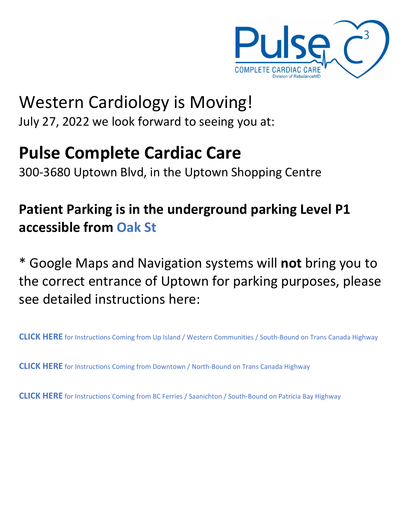

## Western Cardiology is Moving! July 27, 2022 we look forward to seeing you at:

# **Pulse Complete Cardiac Care**

300‐3680 Uptown Blvd, in the Uptown Shopping Centre

## **Patient Parking is in the underground parking Level P1 accessible from Oak St**

\* Google Maps and Navigation systems will **not** bring you to the correct entrance of Uptown for parking purposes, please see detailed instructions here:

**CLICK HERE** for Instructions Coming from Up Island / Western [Communities](#page-1-0) / South‐Bound on Trans Canada Highway

**CLICK HERE** for [Instructions](#page-2-0) Coming from Downtown / North‐Bound on Trans Canada Highway

**CLICK HERE** for [Instructions](#page-3-0) Coming from BC Ferries / Saanichton / South‐Bound on Patricia Bay Highway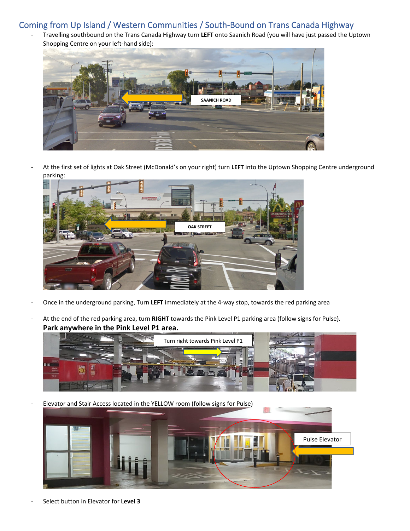### <span id="page-1-0"></span>Coming from Up Island / Western Communities / South‐Bound on Trans Canada Highway

‐ Travelling southbound on the Trans Canada Highway turn **LEFT** onto Saanich Road (you will have just passed the Uptown Shopping Centre on your left‐hand side):



‐ At the first set of lights at Oak Street (McDonald's on your right) turn **LEFT** into the Uptown Shopping Centre underground parking:



- ‐ Once in the underground parking, Turn **LEFT** immediately at the 4‐way stop, towards the red parking area
- ‐ At the end of the red parking area, turn **RIGHT** towards the Pink Level P1 parking area (follow signs for Pulse). **Park anywhere in the Pink Level P1 area.**



‐ Elevator and Stair Access located in the YELLOW room (follow signs for Pulse)



‐ Select button in Elevator for **Level 3**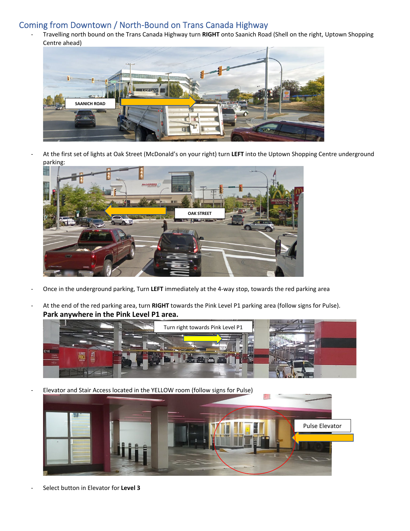### <span id="page-2-0"></span>Coming from Downtown / North‐Bound on Trans Canada Highway

‐ Travelling north bound on the Trans Canada Highway turn **RIGHT** onto Saanich Road (Shell on the right, Uptown Shopping Centre ahead)



‐ At the first set of lights at Oak Street (McDonald's on your right) turn **LEFT** into the Uptown Shopping Centre underground parking:



- ‐ Once in the underground parking, Turn **LEFT** immediately at the 4‐way stop, towards the red parking area
- ‐ At the end of the red parking area, turn **RIGHT** towards the Pink Level P1 parking area (follow signs for Pulse). **Park anywhere in the Pink Level P1 area.**



‐ Elevator and Stair Access located in the YELLOW room (follow signs for Pulse)



‐ Select button in Elevator for **Level 3**